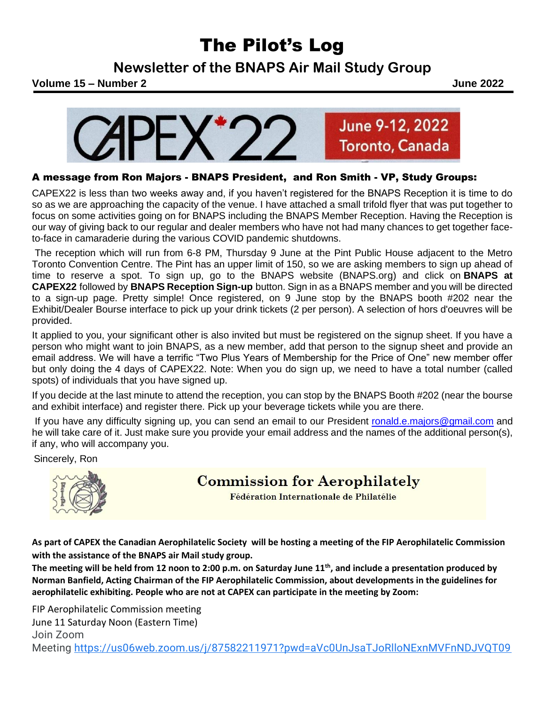## The Pilot's Log

**Newsletter of the BNAPS Air Mail Study Group**



## A message from Ron Majors - BNAPS President, and Ron Smith - VP, Study Groups:

CAPEX22 is less than two weeks away and, if you haven't registered for the BNAPS Reception it is time to do so as we are approaching the capacity of the venue. I have attached a small trifold flyer that was put together to focus on some activities going on for BNAPS including the BNAPS Member Reception. Having the Reception is our way of giving back to our regular and dealer members who have not had many chances to get together faceto-face in camaraderie during the various COVID pandemic shutdowns.

The reception which will run from 6-8 PM, Thursday 9 June at the Pint Public House adjacent to the Metro Toronto Convention Centre. The Pint has an upper limit of 150, so we are asking members to sign up ahead of time to reserve a spot. To sign up, go to the BNAPS website (BNAPS.org) and click on **BNAPS at CAPEX22** followed by **BNAPS Reception Sign-up** button. Sign in as a BNAPS member and you will be directed to a sign-up page. Pretty simple! Once registered, on 9 June stop by the BNAPS booth #202 near the Exhibit/Dealer Bourse interface to pick up your drink tickets (2 per person). A selection of hors d'oeuvres will be provided.

It applied to you, your significant other is also invited but must be registered on the signup sheet. If you have a person who might want to join BNAPS, as a new member, add that person to the signup sheet and provide an email address. We will have a terrific "Two Plus Years of Membership for the Price of One" new member offer but only doing the 4 days of CAPEX22. Note: When you do sign up, we need to have a total number (called spots) of individuals that you have signed up.

If you decide at the last minute to attend the reception, you can stop by the BNAPS Booth #202 (near the bourse and exhibit interface) and register there. Pick up your beverage tickets while you are there.

If you have any difficulty signing up, you can send an email to our President [ronald.e.majors@gmail.com](mailto:ronald.e.majors@gmail.com) and he will take care of it. Just make sure you provide your email address and the names of the additional person(s), if any, who will accompany you.

Sincerely, Ron



**Commission for Aerophilately** 

Fédération Internationale de Philatélie

**As part of CAPEX the Canadian Aerophilatelic Society will be hosting a meeting of the FIP Aerophilatelic Commission with the assistance of the BNAPS air Mail study group.**

**The meeting will be held from 12 noon to 2:00 p.m. on Saturday June 11th , and include a presentation produced by Norman Banfield, Acting Chairman of the FIP Aerophilatelic Commission, about developments in the guidelines for aerophilatelic exhibiting. People who are not at CAPEX can participate in the meeting by Zoom:**

FIP Aerophilatelic Commission meeting June 11 Saturday Noon (Eastern Time) Join Zoom Meeting [https://us06web.zoom.us/j/87582211971?pwd=aVc0UnJsaTJoRlloNExnMVFnNDJVQT09](https://www.google.com/url?q=https://us06web.zoom.us/j/87582211971?pwd%3DaVc0UnJsaTJoRlloNExnMVFnNDJVQT09&sa=D&source=calendar&usd=2&usg=AOvVaw1pzMm4Zu0JuZM5wq16qxCy)